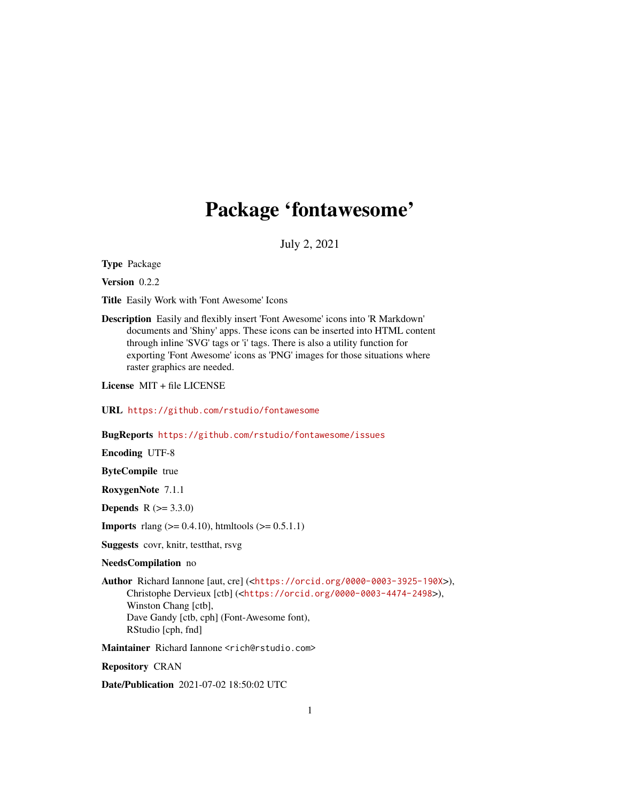# Package 'fontawesome'

July 2, 2021

<span id="page-0-0"></span>Type Package

Version 0.2.2

Title Easily Work with 'Font Awesome' Icons

Description Easily and flexibly insert 'Font Awesome' icons into 'R Markdown' documents and 'Shiny' apps. These icons can be inserted into HTML content through inline 'SVG' tags or 'i' tags. There is also a utility function for exporting 'Font Awesome' icons as 'PNG' images for those situations where raster graphics are needed.

License MIT + file LICENSE

URL <https://github.com/rstudio/fontawesome>

BugReports <https://github.com/rstudio/fontawesome/issues>

Encoding UTF-8

ByteCompile true

RoxygenNote 7.1.1

**Depends**  $R (= 3.3.0)$ 

**Imports** rlang ( $> = 0.4.10$ ), htmltools ( $> = 0.5.1.1$ )

Suggests covr, knitr, testthat, rsvg

# NeedsCompilation no

Author Richard Iannone [aut, cre] (<<https://orcid.org/0000-0003-3925-190X>>), Christophe Dervieux [ctb] (<<https://orcid.org/0000-0003-4474-2498>>), Winston Chang [ctb], Dave Gandy [ctb, cph] (Font-Awesome font), RStudio [cph, fnd]

Maintainer Richard Iannone <rich@rstudio.com>

Repository CRAN

Date/Publication 2021-07-02 18:50:02 UTC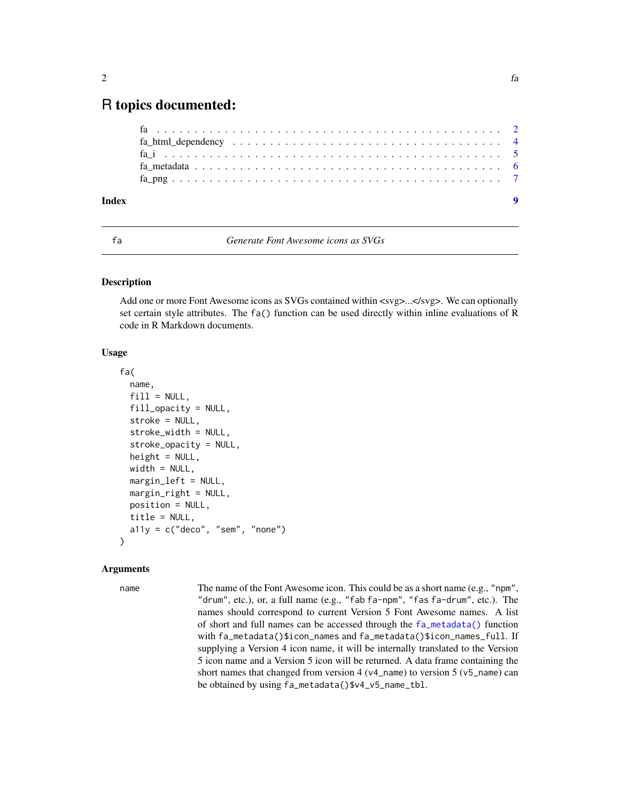# <span id="page-1-0"></span>R topics documented:

| Index |  |  |  |  |  |  |  |  |  |  |  |  |  |  |  |  |
|-------|--|--|--|--|--|--|--|--|--|--|--|--|--|--|--|--|

<span id="page-1-1"></span>

fa *Generate Font Awesome icons as SVGs*

# Description

Add one or more Font Awesome icons as SVGs contained within  $\langle svg\rangle \ldots \langle svg\rangle$ . We can optionally set certain style attributes. The fa() function can be used directly within inline evaluations of R code in R Markdown documents.

# Usage

```
fa(
  name,
  fill = NULL,fill_opacity = NULL,
  stroke = NULL,
  stroke_width = NULL,
  stroke_opacity = NULL,
  height = NULL,width = NULL,margin_left = NULL,
  margin_right = NULL,
  position = NULL,
  title = NULL,
  a11y = c("deco", "sem", "none"))
```
# Arguments

name The name of the Font Awesome icon. This could be as a short name (e.g., "npm", "drum", etc.), or, a full name (e.g., "fab fa-npm", "fas fa-drum", etc.). The names should correspond to current Version 5 Font Awesome names. A list of short and full names can be accessed through the [fa\\_metadata\(\)](#page-5-1) function with fa\_metadata()\$icon\_names and fa\_metadata()\$icon\_names\_full. If supplying a Version 4 icon name, it will be internally translated to the Version 5 icon name and a Version 5 icon will be returned. A data frame containing the short names that changed from version  $4 (v4_name)$  to version  $5 (v5_name)$  can be obtained by using fa\_metadata()\$v4\_v5\_name\_tbl.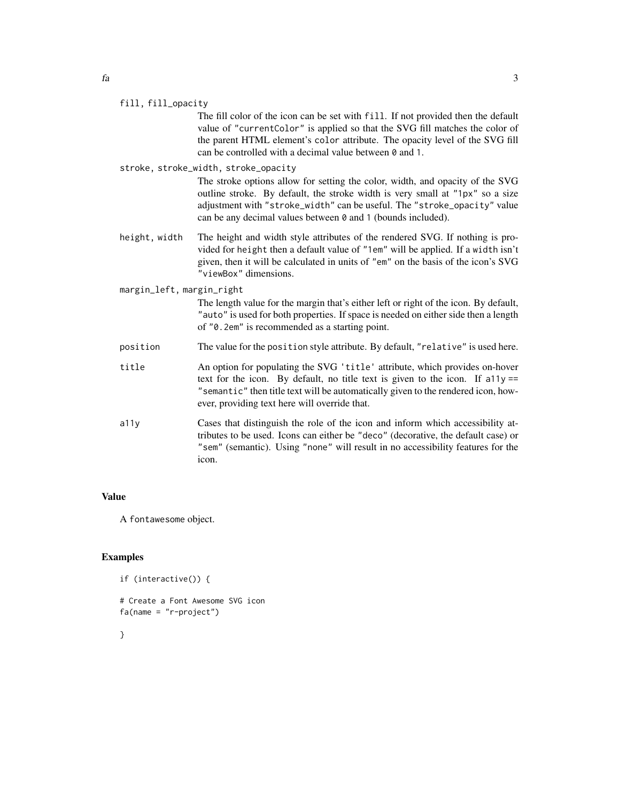#### fill, fill\_opacity

The fill color of the icon can be set with fill. If not provided then the default value of "currentColor" is applied so that the SVG fill matches the color of the parent HTML element's color attribute. The opacity level of the SVG fill can be controlled with a decimal value between 0 and 1.

# stroke, stroke\_width, stroke\_opacity

The stroke options allow for setting the color, width, and opacity of the SVG outline stroke. By default, the stroke width is very small at "1px" so a size adjustment with "stroke\_width" can be useful. The "stroke\_opacity" value can be any decimal values between 0 and 1 (bounds included).

height, width The height and width style attributes of the rendered SVG. If nothing is provided for height then a default value of "1em" will be applied. If a width isn't given, then it will be calculated in units of "em" on the basis of the icon's SVG "viewBox" dimensions.

# margin\_left, margin\_right

The length value for the margin that's either left or right of the icon. By default, "auto" is used for both properties. If space is needed on either side then a length of "0.2em" is recommended as a starting point.

- position The value for the position style attribute. By default, "relative" is used here.
- title An option for populating the SVG 'title' attribute, which provides on-hover text for the icon. By default, no title text is given to the icon. If a11y == "semantic" then title text will be automatically given to the rendered icon, however, providing text here will override that.
- a11y Cases that distinguish the role of the icon and inform which accessibility attributes to be used. Icons can either be "deco" (decorative, the default case) or "sem" (semantic). Using "none" will result in no accessibility features for the icon.

# Value

A fontawesome object.

# Examples

```
if (interactive()) {
```

```
# Create a Font Awesome SVG icon
fa(name = "r-project")
```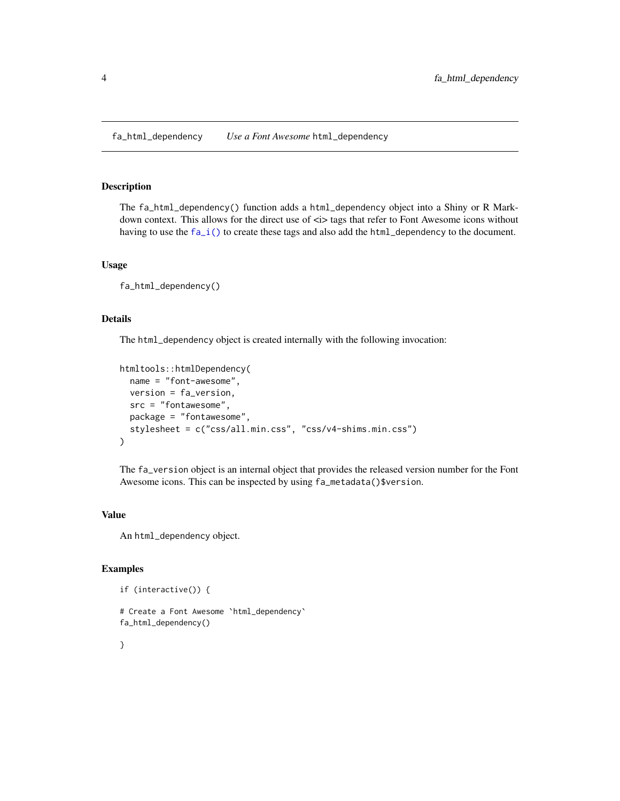<span id="page-3-0"></span>fa\_html\_dependency *Use a Font Awesome* html\_dependency

# **Description**

The fa\_html\_dependency() function adds a html\_dependency object into a Shiny or R Markdown context. This allows for the direct use of  $\langle \cdot \rangle$  tags that refer to Font Awesome icons without having to use the  $fa_i()$  to create these tags and also add the  $html$ -dependency to the document.

# Usage

fa\_html\_dependency()

# Details

The html\_dependency object is created internally with the following invocation:

```
htmltools::htmlDependency(
  name = "font-awesome",
 version = fa_version,
  src = "fontawesome",
 package = "fontawesome",
  stylesheet = c("css/all.min.css", "css/v4-shims.min.css")
)
```
The fa\_version object is an internal object that provides the released version number for the Font Awesome icons. This can be inspected by using fa\_metadata()\$version.

# Value

An html\_dependency object.

# Examples

```
if (interactive()) {
# Create a Font Awesome `html_dependency`
fa_html_dependency()
```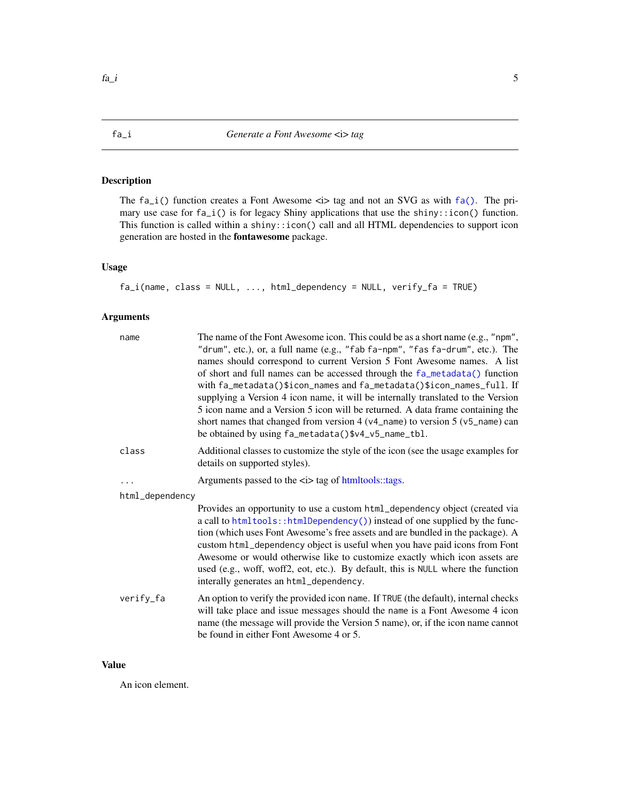# <span id="page-4-1"></span><span id="page-4-0"></span>Description

The  $fa_i()$  function creates a Font Awesome  $\langle i \rangle$  tag and not an SVG as with  $fa()$ . The primary use case for fa\_i() is for legacy Shiny applications that use the shiny::icon() function. This function is called within a shiny::icon() call and all HTML dependencies to support icon generation are hosted in the fontawesome package.

# Usage

 $fa_i(name, class = NULL, ..., html_dependency = NULL, verify_fa = TRUE)$ 

# Arguments

| name            | The name of the Font Awesome icon. This could be as a short name (e.g., "npm",<br>"drum", etc.), or, a full name (e.g., "fab fa-npm", "fas fa-drum", etc.). The<br>names should correspond to current Version 5 Font Awesome names. A list<br>of short and full names can be accessed through the fa_metadata() function<br>with fa_metadata()\$icon_names and fa_metadata()\$icon_names_full. If<br>supplying a Version 4 icon name, it will be internally translated to the Version<br>5 icon name and a Version 5 icon will be returned. A data frame containing the<br>short names that changed from version $4(v4 \text{_name})$ to version $5(v5 \text{_name})$ can<br>be obtained by using fa_metadata()\$v4_v5_name_tbl. |
|-----------------|----------------------------------------------------------------------------------------------------------------------------------------------------------------------------------------------------------------------------------------------------------------------------------------------------------------------------------------------------------------------------------------------------------------------------------------------------------------------------------------------------------------------------------------------------------------------------------------------------------------------------------------------------------------------------------------------------------------------------------|
| class           | Additional classes to customize the style of the icon (see the usage examples for<br>details on supported styles).                                                                                                                                                                                                                                                                                                                                                                                                                                                                                                                                                                                                               |
| $\ddotsc$       | Arguments passed to the <i> tag of htmltools::tags.</i>                                                                                                                                                                                                                                                                                                                                                                                                                                                                                                                                                                                                                                                                          |
| html_dependency |                                                                                                                                                                                                                                                                                                                                                                                                                                                                                                                                                                                                                                                                                                                                  |
|                 | Provides an opportunity to use a custom html_dependency object (created via<br>a call to html tools:: html Dependency () instead of one supplied by the func-<br>tion (which uses Font Awesome's free assets and are bundled in the package). A<br>custom html_dependency object is useful when you have paid icons from Font<br>Awesome or would otherwise like to customize exactly which icon assets are<br>used (e.g., woff, woff2, eot, etc.). By default, this is NULL where the function<br>interally generates an html_dependency.                                                                                                                                                                                       |
| verify_fa       | An option to verify the provided icon name. If TRUE (the default), internal checks<br>will take place and issue messages should the name is a Font Awesome 4 icon<br>name (the message will provide the Version 5 name), or, if the icon name cannot<br>be found in either Font Awesome 4 or 5.                                                                                                                                                                                                                                                                                                                                                                                                                                  |

# Value

An icon element.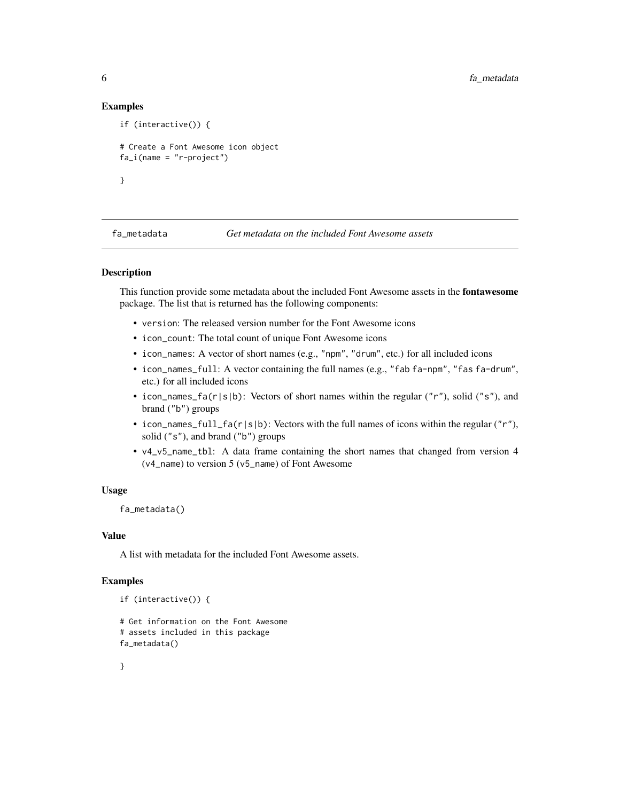# Examples

```
if (interactive()) {
# Create a Font Awesome icon object
fa_i(name = "r-project")}
```
<span id="page-5-1"></span>

# Description

This function provide some metadata about the included Font Awesome assets in the fontawesome package. The list that is returned has the following components:

- version: The released version number for the Font Awesome icons
- icon\_count: The total count of unique Font Awesome icons
- icon\_names: A vector of short names (e.g., "npm", "drum", etc.) for all included icons
- icon\_names\_full: A vector containing the full names (e.g., "fab fa-npm", "fas fa-drum", etc.) for all included icons
- icon\_names\_fa(r|s|b): Vectors of short names within the regular ("r"), solid ("s"), and brand ("b") groups
- icon\_names\_full\_fa(r|s|b): Vectors with the full names of icons within the regular  $("r")$ , solid ("s"), and brand ("b") groups
- v4\_v5\_name\_tbl: A data frame containing the short names that changed from version 4 (v4\_name) to version 5 (v5\_name) of Font Awesome

# Usage

```
fa_metadata()
```
# Value

A list with metadata for the included Font Awesome assets.

## Examples

```
if (interactive()) {
```

```
# Get information on the Font Awesome
# assets included in this package
fa_metadata()
```
<span id="page-5-0"></span>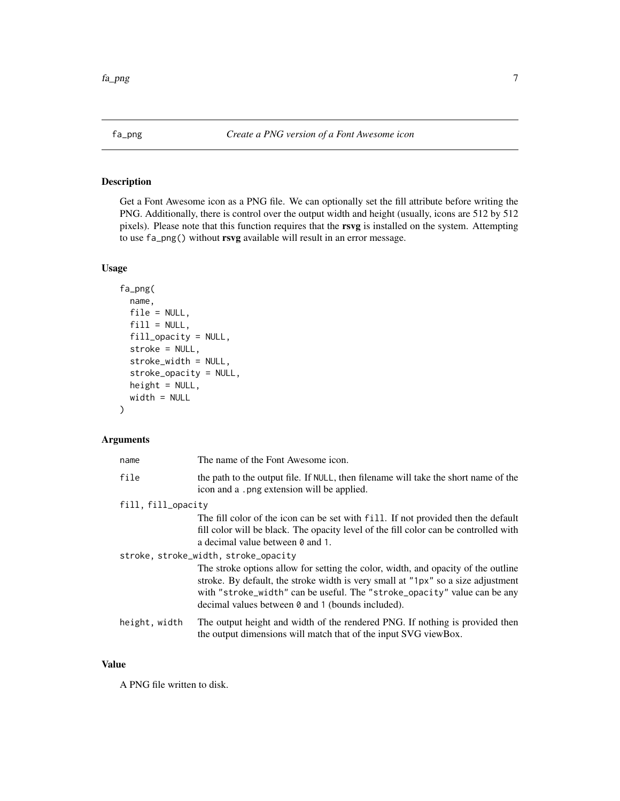<span id="page-6-0"></span>

# Description

Get a Font Awesome icon as a PNG file. We can optionally set the fill attribute before writing the PNG. Additionally, there is control over the output width and height (usually, icons are 512 by 512 pixels). Please note that this function requires that the rsvg is installed on the system. Attempting to use fa\_png() without rsvg available will result in an error message.

# Usage

```
fa_png(
  name,
  file = NULL,
  fill = NULL,fill_opacity = NULL,
  stroke = NULL,
  stroke_width = NULL,
  stroke_opacity = NULL,
  height = NULL,width = NULL
)
```
# Arguments

| name               | The name of the Font Awesome icon.                                                                                                                                                                                                                                                                     |  |  |  |  |  |
|--------------------|--------------------------------------------------------------------------------------------------------------------------------------------------------------------------------------------------------------------------------------------------------------------------------------------------------|--|--|--|--|--|
| file               | the path to the output file. If NULL, then filename will take the short name of the<br>icon and a .png extension will be applied.                                                                                                                                                                      |  |  |  |  |  |
| fill, fill_opacity |                                                                                                                                                                                                                                                                                                        |  |  |  |  |  |
|                    | The fill color of the icon can be set with fill. If not provided then the default<br>fill color will be black. The opacity level of the fill color can be controlled with<br>a decimal value between 0 and 1.                                                                                          |  |  |  |  |  |
|                    | stroke, stroke_width, stroke_opacity                                                                                                                                                                                                                                                                   |  |  |  |  |  |
|                    | The stroke options allow for setting the color, width, and opacity of the outline<br>stroke. By default, the stroke width is very small at "1px" so a size adjustment<br>with "stroke_width" can be useful. The "stroke_opacity" value can be any<br>decimal values between 0 and 1 (bounds included). |  |  |  |  |  |
| height, width      | The output height and width of the rendered PNG. If nothing is provided then<br>the output dimensions will match that of the input SVG viewBox.                                                                                                                                                        |  |  |  |  |  |

#### Value

A PNG file written to disk.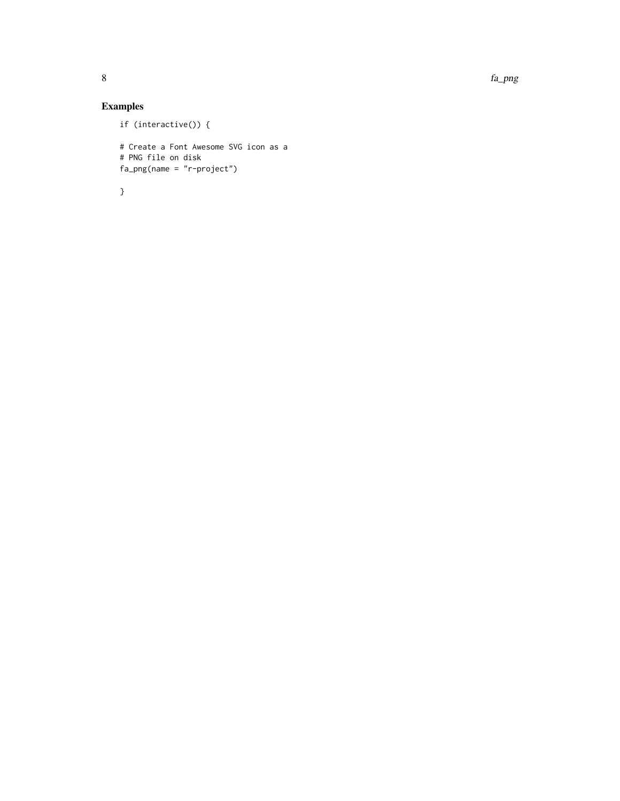8 fa\_png

# Examples

```
if (interactive()) {
# Create a Font Awesome SVG icon as a
# PNG file on disk
fa_png(name = "r-project")
```